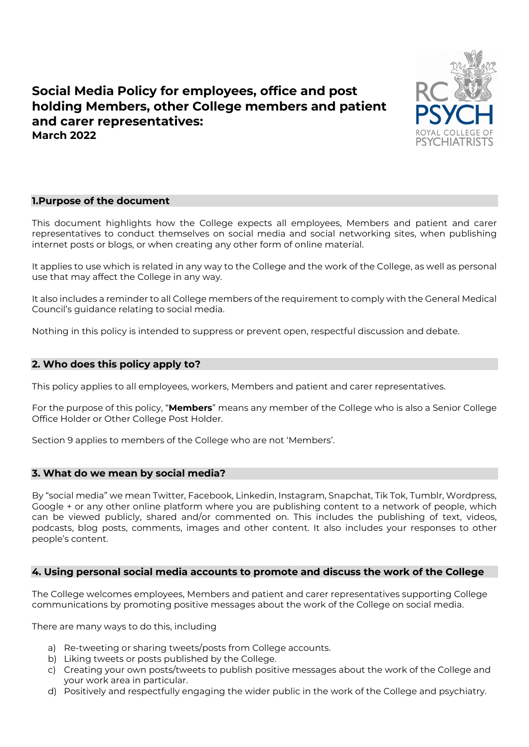# Social Media Policy for employees, office and post holding Members, other College members and patient and carer representatives: March 2022



# 1.Purpose of the document

This document highlights how the College expects all employees, Members and patient and carer representatives to conduct themselves on social media and social networking sites, when publishing internet posts or blogs, or when creating any other form of online material.

It applies to use which is related in any way to the College and the work of the College, as well as personal use that may affect the College in any way.

It also includes a reminder to all College members of the requirement to comply with the General Medical Council's guidance relating to social media.

Nothing in this policy is intended to suppress or prevent open, respectful discussion and debate.

# 2. Who does this policy apply to?

This policy applies to all employees, workers, Members and patient and carer representatives.

For the purpose of this policy, "**Members**" means any member of the College who is also a Senior College Office Holder or Other College Post Holder.

Section 9 applies to members of the College who are not 'Members'.

# 3. What do we mean by social media?

By "social media" we mean Twitter, Facebook, Linkedin, Instagram, Snapchat, Tik Tok, Tumblr, Wordpress, Google + or any other online platform where you are publishing content to a network of people, which can be viewed publicly, shared and/or commented on. This includes the publishing of text, videos, podcasts, blog posts, comments, images and other content. It also includes your responses to other people's content.

## 4. Using personal social media accounts to promote and discuss the work of the College

The College welcomes employees, Members and patient and carer representatives supporting College communications by promoting positive messages about the work of the College on social media.

There are many ways to do this, including

- a) Re-tweeting or sharing tweets/posts from College accounts.
- b) Liking tweets or posts published by the College.
- c) Creating your own posts/tweets to publish positive messages about the work of the College and your work area in particular.
- d) Positively and respectfully engaging the wider public in the work of the College and psychiatry.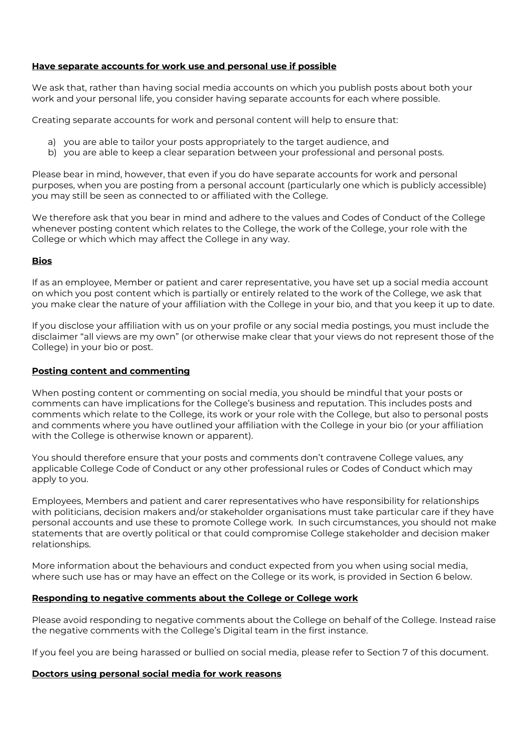# Have separate accounts for work use and personal use if possible

We ask that, rather than having social media accounts on which you publish posts about both your work and your personal life, you consider having separate accounts for each where possible.

Creating separate accounts for work and personal content will help to ensure that:

- a) you are able to tailor your posts appropriately to the target audience, and
- b) you are able to keep a clear separation between your professional and personal posts.

Please bear in mind, however, that even if you do have separate accounts for work and personal purposes, when you are posting from a personal account (particularly one which is publicly accessible) you may still be seen as connected to or affiliated with the College.

We therefore ask that you bear in mind and adhere to the values and Codes of Conduct of the College whenever posting content which relates to the College, the work of the College, your role with the College or which which may affect the College in any way.

#### **Bios**

If as an employee, Member or patient and carer representative, you have set up a social media account on which you post content which is partially or entirely related to the work of the College, we ask that you make clear the nature of your affiliation with the College in your bio, and that you keep it up to date.

If you disclose your affiliation with us on your profile or any social media postings, you must include the disclaimer "all views are my own" (or otherwise make clear that your views do not represent those of the College) in your bio or post.

#### Posting content and commenting

When posting content or commenting on social media, you should be mindful that your posts or comments can have implications for the College's business and reputation. This includes posts and comments which relate to the College, its work or your role with the College, but also to personal posts and comments where you have outlined your affiliation with the College in your bio (or your affiliation with the College is otherwise known or apparent).

You should therefore ensure that your posts and comments don't contravene College values, any applicable College Code of Conduct or any other professional rules or Codes of Conduct which may apply to you.

Employees, Members and patient and carer representatives who have responsibility for relationships with politicians, decision makers and/or stakeholder organisations must take particular care if they have personal accounts and use these to promote College work. In such circumstances, you should not make statements that are overtly political or that could compromise College stakeholder and decision maker relationships.

More information about the behaviours and conduct expected from you when using social media, where such use has or may have an effect on the College or its work, is provided in Section 6 below.

## Responding to negative comments about the College or College work

Please avoid responding to negative comments about the College on behalf of the College. Instead raise the negative comments with the College's Digital team in the first instance.

If you feel you are being harassed or bullied on social media, please refer to Section 7 of this document.

#### Doctors using personal social media for work reasons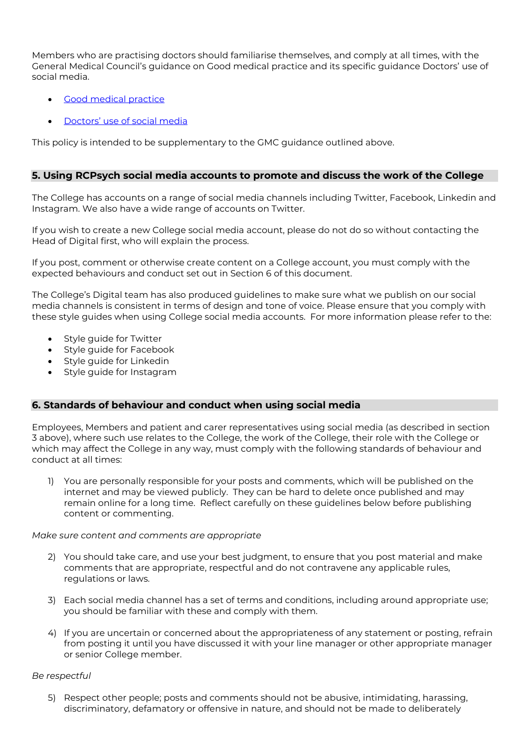Members who are practising doctors should familiarise themselves, and comply at all times, with the General Medical Council's guidance on Good medical practice and its specific guidance Doctors' use of social media.

- Good medical practice
- Doctors' use of social media

This policy is intended to be supplementary to the GMC guidance outlined above.

# 5. Using RCPsych social media accounts to promote and discuss the work of the College

The College has accounts on a range of social media channels including Twitter, Facebook, Linkedin and Instagram. We also have a wide range of accounts on Twitter.

If you wish to create a new College social media account, please do not do so without contacting the Head of Digital first, who will explain the process.

If you post, comment or otherwise create content on a College account, you must comply with the expected behaviours and conduct set out in Section 6 of this document.

The College's Digital team has also produced guidelines to make sure what we publish on our social media channels is consistent in terms of design and tone of voice. Please ensure that you comply with these style guides when using College social media accounts. For more information please refer to the:

- Style guide for Twitter
- Style guide for Facebook
- Style guide for Linkedin
- Style guide for Instagram

# 6. Standards of behaviour and conduct when using social media

Employees, Members and patient and carer representatives using social media (as described in section 3 above), where such use relates to the College, the work of the College, their role with the College or which may affect the College in any way, must comply with the following standards of behaviour and conduct at all times:

1) You are personally responsible for your posts and comments, which will be published on the internet and may be viewed publicly. They can be hard to delete once published and may remain online for a long time. Reflect carefully on these guidelines below before publishing content or commenting.

## Make sure content and comments are appropriate

- 2) You should take care, and use your best judgment, to ensure that you post material and make comments that are appropriate, respectful and do not contravene any applicable rules, regulations or laws.
- 3) Each social media channel has a set of terms and conditions, including around appropriate use; you should be familiar with these and comply with them.
- 4) If you are uncertain or concerned about the appropriateness of any statement or posting, refrain from posting it until you have discussed it with your line manager or other appropriate manager or senior College member.

## Be respectful

5) Respect other people; posts and comments should not be abusive, intimidating, harassing, discriminatory, defamatory or offensive in nature, and should not be made to deliberately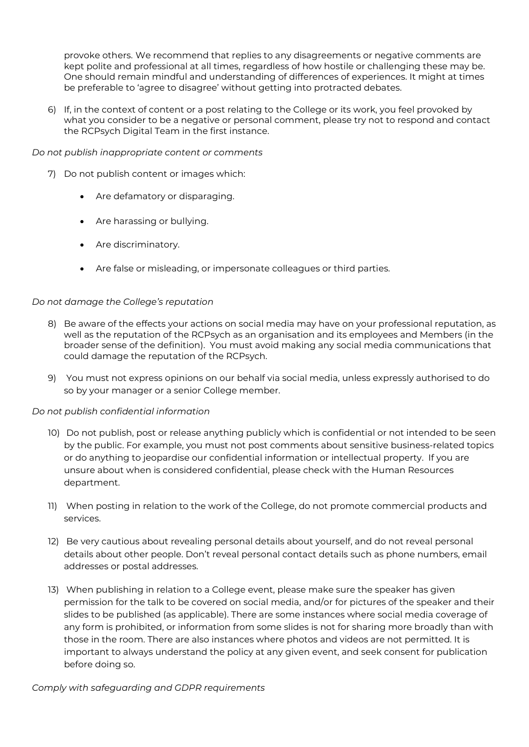provoke others. We recommend that replies to any disagreements or negative comments are kept polite and professional at all times, regardless of how hostile or challenging these may be. One should remain mindful and understanding of differences of experiences. It might at times be preferable to 'agree to disagree' without getting into protracted debates.

6) If, in the context of content or a post relating to the College or its work, you feel provoked by what you consider to be a negative or personal comment, please try not to respond and contact the RCPsych Digital Team in the first instance.

# Do not publish inappropriate content or comments

- 7) Do not publish content or images which:
	- Are defamatory or disparaging.
	- Are harassing or bullying.
	- Are discriminatory.
	- Are false or misleading, or impersonate colleagues or third parties.

# Do not damage the College's reputation

- 8) Be aware of the effects your actions on social media may have on your professional reputation, as well as the reputation of the RCPsych as an organisation and its employees and Members (in the broader sense of the definition). You must avoid making any social media communications that could damage the reputation of the RCPsych.
- 9) You must not express opinions on our behalf via social media, unless expressly authorised to do so by your manager or a senior College member.

## Do not publish confidential information

- 10) Do not publish, post or release anything publicly which is confidential or not intended to be seen by the public. For example, you must not post comments about sensitive business-related topics or do anything to jeopardise our confidential information or intellectual property. If you are unsure about when is considered confidential, please check with the Human Resources department.
- 11) When posting in relation to the work of the College, do not promote commercial products and services.
- 12) Be very cautious about revealing personal details about yourself, and do not reveal personal details about other people. Don't reveal personal contact details such as phone numbers, email addresses or postal addresses.
- 13) When publishing in relation to a College event, please make sure the speaker has given permission for the talk to be covered on social media, and/or for pictures of the speaker and their slides to be published (as applicable). There are some instances where social media coverage of any form is prohibited, or information from some slides is not for sharing more broadly than with those in the room. There are also instances where photos and videos are not permitted. It is important to always understand the policy at any given event, and seek consent for publication before doing so.

## Comply with safeguarding and GDPR requirements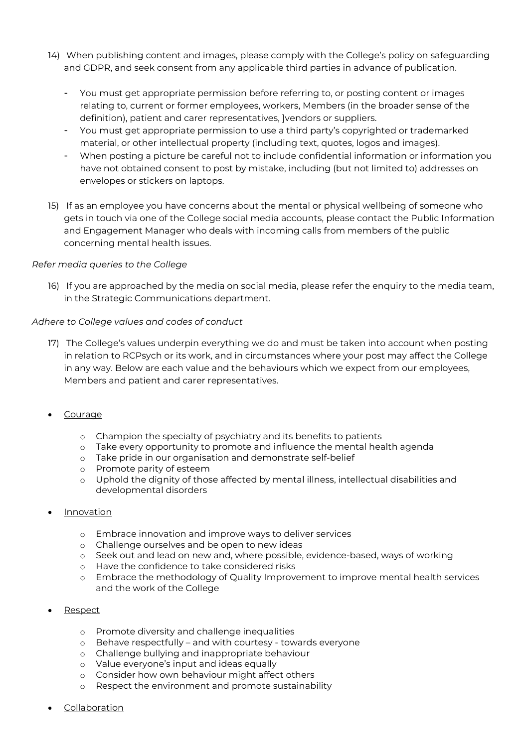- 14) When publishing content and images, please comply with the College's policy on safeguarding and GDPR, and seek consent from any applicable third parties in advance of publication.
	- You must get appropriate permission before referring to, or posting content or images relating to, current or former employees, workers, Members (in the broader sense of the definition), patient and carer representatives, ]vendors or suppliers.
	- You must get appropriate permission to use a third party's copyrighted or trademarked material, or other intellectual property (including text, quotes, logos and images).
	- When posting a picture be careful not to include confidential information or information you have not obtained consent to post by mistake, including (but not limited to) addresses on envelopes or stickers on laptops.
- 15) If as an employee you have concerns about the mental or physical wellbeing of someone who gets in touch via one of the College social media accounts, please contact the Public Information and Engagement Manager who deals with incoming calls from members of the public concerning mental health issues.

# Refer media queries to the College

16) If you are approached by the media on social media, please refer the enquiry to the media team, in the Strategic Communications department.

# Adhere to College values and codes of conduct

- 17) The College's values underpin everything we do and must be taken into account when posting in relation to RCPsych or its work, and in circumstances where your post may affect the College in any way. Below are each value and the behaviours which we expect from our employees, Members and patient and carer representatives.
- Courage
	- o Champion the specialty of psychiatry and its benefits to patients
	- o Take every opportunity to promote and influence the mental health agenda
	- o Take pride in our organisation and demonstrate self‐belief
	- o Promote parity of esteem
	- o Uphold the dignity of those affected by mental illness, intellectual disabilities and developmental disorders
- **Innovation** 
	- o Embrace innovation and improve ways to deliver services
	- o Challenge ourselves and be open to new ideas
	- o Seek out and lead on new and, where possible, evidence‐based, ways of working
	- o Have the confidence to take considered risks
	- o Embrace the methodology of Quality Improvement to improve mental health services and the work of the College
- Respect
	- o Promote diversity and challenge inequalities
	- o Behave respectfully and with courtesy ‐ towards everyone
	- o Challenge bullying and inappropriate behaviour
	- o Value everyone's input and ideas equally
	- o Consider how own behaviour might affect others
	- o Respect the environment and promote sustainability
- Collaboration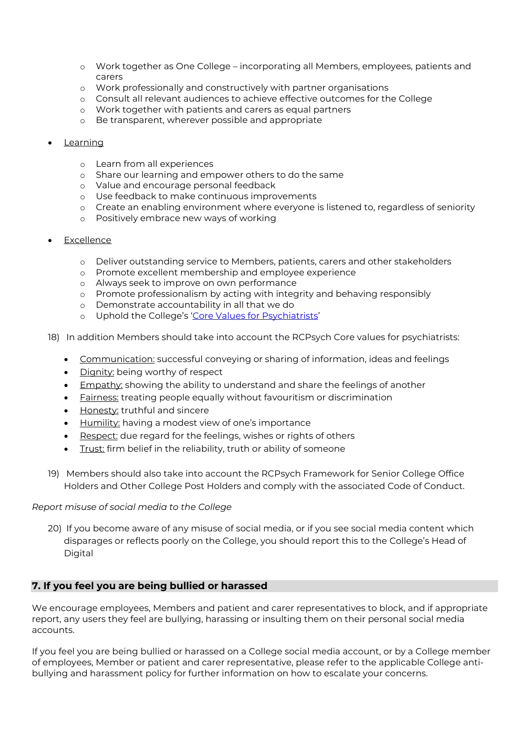- o Work together as One College incorporating all Members, employees, patients and carers
- o Work professionally and constructively with partner organisations
- o Consult all relevant audiences to achieve effective outcomes for the College
- o Work together with patients and carers as equal partners
- o Be transparent, wherever possible and appropriate

## **Learning**

- o Learn from all experiences
- o Share our learning and empower others to do the same
- o Value and encourage personal feedback
- o Use feedback to make continuous improvements
- o Create an enabling environment where everyone is listened to, regardless of seniority
- o Positively embrace new ways of working
- Excellence
	- o Deliver outstanding service to Members, patients, carers and other stakeholders
	- o Promote excellent membership and employee experience
	- o Always seek to improve on own performance
	- o Promote professionalism by acting with integrity and behaving responsibly
	- o Demonstrate accountability in all that we do
	- o Uphold the College's 'Core Values for Psychiatrists'
- 18) In addition Members should take into account the RCPsych Core values for psychiatrists:
	- Communication: successful conveying or sharing of information, ideas and feelings
	- Dignity: being worthy of respect
	- Empathy: showing the ability to understand and share the feelings of another
	- Fairness: treating people equally without favouritism or discrimination
	- Honesty: truthful and sincere
	- Humility: having a modest view of one's importance
	- Respect: due regard for the feelings, wishes or rights of others
	- Trust: firm belief in the reliability, truth or ability of someone
- 19) Members should also take into account the RCPsych Framework for Senior College Office Holders and Other College Post Holders and comply with the associated Code of Conduct.

## Report misuse of social media to the College

20) If you become aware of any misuse of social media, or if you see social media content which disparages or reflects poorly on the College, you should report this to the College's Head of **Digital** 

# 7. If you feel you are being bullied or harassed

We encourage employees, Members and patient and carer representatives to block, and if appropriate report, any users they feel are bullying, harassing or insulting them on their personal social media accounts.

If you feel you are being bullied or harassed on a College social media account, or by a College member of employees, Member or patient and carer representative, please refer to the applicable College antibullying and harassment policy for further information on how to escalate your concerns.